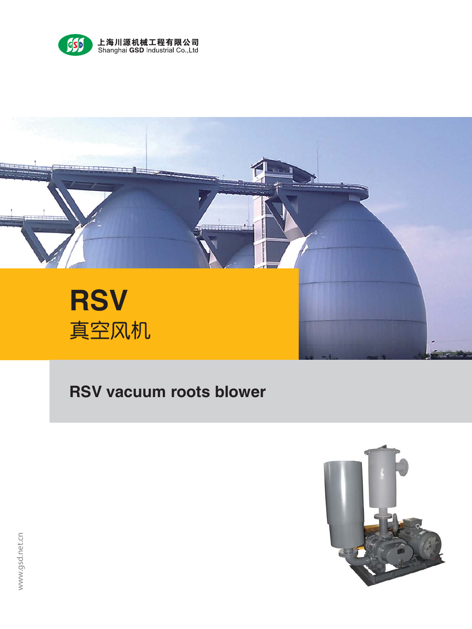



# **RSV vacuum roots blower**

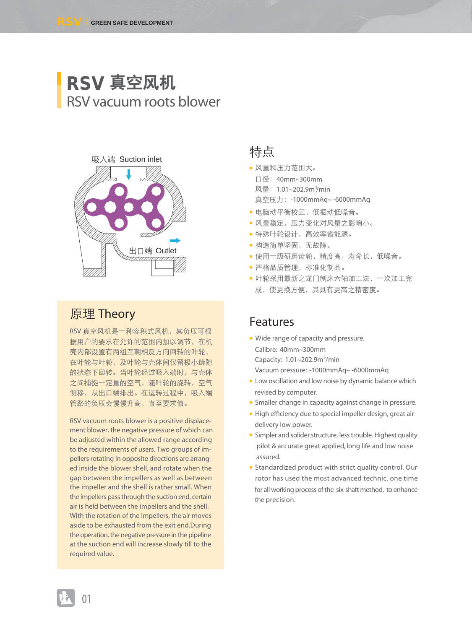# **RSV** 真空风机 RSV vacuum roots blower



#### 原理 Theory

RSV 真空风机是一种容积式风机,其负压可根 据用户的要求在允许的范围内加以调节,在机 壳内部设置有两组互朝相反方向回转的叶轮, 在叶轮与叶轮,及叶轮与壳体间仅留极小缝隙 的状态下回转。当叶轮经过吸入端时,与壳体 之间捕捉一定量的空气,随叶轮的旋转,空气 侧移,从出口端排出。在运转过程中,吸入端 管路的负压会慢慢升高,直至要求值。

RSV vacuum roots blower is a positive displacement blower, the negative pressure of which can be adjusted within the allowed range according to the requirements of users. Two groups of impellers rotating in opposite directions are arranged inside the blower shell, and rotate when the gap between the impellers as well as between the impeller and the shell is rather small. When the impellers pass through the suction end, certain air is held between the impellers and the shell. With the rotation of the impellers, the air moves aside to be exhausted from the exit end.During the operation, the negative pressure in the pipeline at the suction end will increase slowly till to the required value.

#### 特点

- 风量和压力范围大。 口径:40mm~300mm 风量: 1.01~202.9m<sup>3</sup>/min 真空压力:-1000mmAq~ -6000mmAq
- 电脑动平衡校正,低振动低噪音。
- 风量稳定,压力变化对风量之影响小。
- 特殊叶轮设计,高效率省能源。
- 构造简单坚固,无故障。
- 使用一级研磨齿轮,精度高,寿命长,低噪音。
- 严格品质管理,标准化制品。
- 叶轮采用最新之龙门刨床六轴加工法,一次加工完 成,使更换方便,其具有更高之精密度。

#### Features

- Wide range of capacity and pressure. Calibre: 40mm~300mm Capacity: 1.01~202.9m<sup>3</sup>/min Vacuum pressure: -1000mmAq~ -6000mmAq
- Low oscillation and low noise by dynamic balance which revised by computer.
- Smaller change in capacity against change in pressure.
- High efficiency due to special impeller design, great airdelivery low power.
- Simpler and solider structure, less trouble. Highest quality pilot & accurate great applied, long life and low noise assured.
- Standardized product with strict quality control. Our rotor has used the most advanced technic, one time for all working process of the six-shaft method, to enhance the precision.

01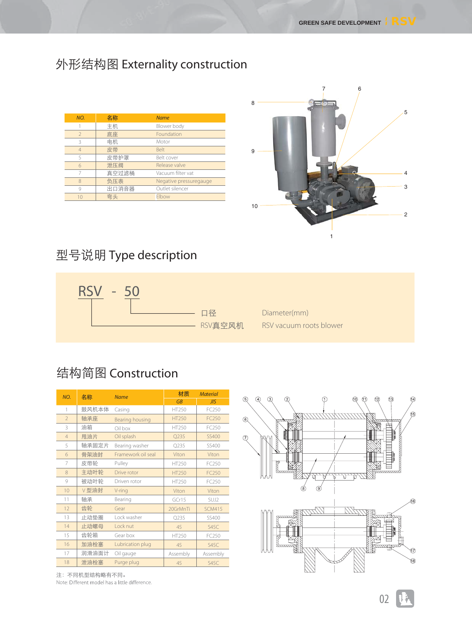## 外形结构图 Externality construction

| NO.                      | 名称    | <b>Name</b>            |
|--------------------------|-------|------------------------|
|                          | 主机    | Blower body            |
| $\overline{\phantom{a}}$ | 底座    | Foundation             |
| 3                        | 电机.   | Motor                  |
|                          | 皮带    | <b>Belt</b>            |
| 5                        | 皮带护罩  | Belt cover             |
| $\overline{6}$           | 泄压阀   | Release valve          |
|                          | 真空过滤桶 | Vacuum filter vat      |
|                          | 负压表   | Negative pressuregauge |
| 9                        | 出口消音器 | Outlet silencer        |
| 10                       | 弯头    | Elbow                  |



## 型号说明 Type description



# 结构简图 Construction

| NO.            | 名称    | <b>Name</b>        | 材质           | <b>Material</b> |
|----------------|-------|--------------------|--------------|-----------------|
|                |       |                    | <b>GB</b>    | JIS             |
| 1              | 鼓风机本体 | Casing             | HT250        | FC250           |
| $\overline{2}$ | 轴承座   | Bearing housing    | <b>HT250</b> | FC250           |
| 3              | 油箱    | Oil box            | HT250        | FC250           |
| $\overline{4}$ | 甩油片   | Oil splash         | Q235         | SS400           |
| 5              | 轴承固定片 | Bearing washer     | O235         | SS400           |
| 6              | 骨架油封  | Framework oil seal | Viton        | Viton           |
| 7              | 皮带轮   | Pulley             | HT250        | FC250           |
| 8              | 主动叶轮  | Drive rotor        | HT250        | FC250           |
| 9              | 被动叶轮  | Driven rotor       | HT250        | FC250           |
| 10             | Ⅴ型油封  | V-ring             | Viton        | Viton           |
| 11             | 轴承    | Bearing            | GCr15        | SUJ2            |
| 12             | 齿轮    | Gear               | 20GrMnTi     | <b>SCM415</b>   |
| 13             | 止动垫圈  | Lock washer        | O235         | SS400           |
| 14             | 止动螺母  | Lock nut           | 45           | <b>S45C</b>     |
| 15             | 齿轮箱   | Gear box           | HT250        | FC250           |
| 16             | 加油栓塞  | Lubrication plug   | 45           | <b>S45C</b>     |
| 17             | 润滑油面计 | Oil gauge          | Assembly     | Assembly        |
| 18             | 泄油栓塞  | Purge plug         | 45           | <b>S45C</b>     |



注:不同机型结构略有不同。 Note: Different model has a little difference.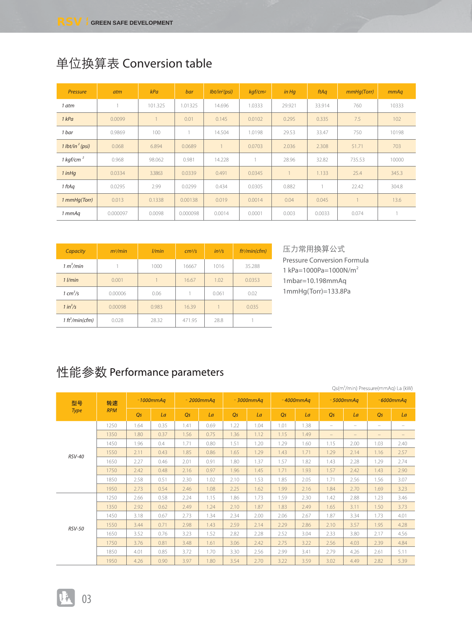| Pressure                    | atm      | kPa     | bar      | lbt/in <sup>2</sup> (psi) | $kqf/cm^2$ | $in$ Hq | ftAq   | mmHq(Torr) | mmAq  |
|-----------------------------|----------|---------|----------|---------------------------|------------|---------|--------|------------|-------|
| 1 atm                       |          | 101.325 | .01325   | 14.696                    | 1.0333     | 29.921  | 33.914 | 760        | 10333 |
| 1 kPa                       | 0.0099   |         | 0.01     | 0.145                     | 0.0102     | 0.295   | 0.335  | 7.5        | 102   |
| 1 bar                       | 0.9869   | 100     |          | 14.504                    | 1.0198     | 29.53   | 33.47  | 750        | 10198 |
| 1 lbt/in <sup>2</sup> (psi) | 0.068    | 6.894   | 0.0689   |                           | 0.0703     | 2.036   | 2.308  | 51.71      | 703   |
| 1 kgf/cm $^2$               | 0.968    | 98.062  | 0.981    | 14.228                    |            | 28.96   | 32.82  | 735.53     | 10000 |
| $1$ in Hq                   | 0.0334   | 3.3863  | 0.0339   | 0.491                     | 0.0345     |         | 1.133  | 25.4       | 345.3 |
| 1 ftAq                      | 0.0295   | 2.99    | 0.0299   | 0.434                     | 0.0305     | 0.882   |        | 22.42      | 304.8 |
| 1 mmHq(Torr)                | 0.013    | 0.1338  | 0.00138  | 0.019                     | 0.0014     | 0.04    | 0.045  |            | 13.6  |
| 1 mmAq                      | 0.000097 | 0.0098  | 0.000098 | 0.0014                    | 0.0001     | 0.003   | 0.0033 | 0.074      |       |

## 单位换算表 Conversion table

| Capacity                    | m <sup>3</sup> /min | l/min | cm <sup>3</sup> /s | $in^3/s$ | ft <sup>3</sup> /min(cfm) |
|-----------------------------|---------------------|-------|--------------------|----------|---------------------------|
| 1 m <sup>3</sup> /min       |                     | 1000  | 16667              | 1016     | 35.288                    |
| $1$ $l/min$                 | 0.001               |       | 16.67              | 1.02     | 0.0353                    |
| $1 \text{ cm}^3/\text{s}$   | 0.00006             | 0.06  |                    | 0.061    | 0.02                      |
| $1 in^3/s$                  | 0.00098             | 0.983 | 16.39              |          | 0.035                     |
| 1 ft <sup>3</sup> /min(cfm) | 0.028               | 28.32 | 471.95             | 28.8     |                           |

压力常用换算公式 Pressure Conversion Formula 1 kPa=1000Pa=1000N/m2 1mbar=10.198mmAq 1mmHg(Torr)=133.8Pa

## 性能参数 Performance parameters

|               |            |                |              |      |              |      |              |      |              |                          |                   | Qs(m <sup>3</sup> /min) Pressure(mmAq) La (kW) |                   |
|---------------|------------|----------------|--------------|------|--------------|------|--------------|------|--------------|--------------------------|-------------------|------------------------------------------------|-------------------|
| 型号            | 转速         |                | $-1000mm$ Aq |      | $-2000mm$ Aq |      | $-3000mm$ Aq |      | $-4000mm$ Aq |                          | $-5000mm$ Aq      |                                                | $-6000mm$ Aq      |
| <b>Type</b>   | <b>RPM</b> | O <sub>S</sub> | La           | Os   | La           | Os   | La           | Os   | La           | Os                       | La                | O <sub>S</sub>                                 | La                |
|               | 1250       | 1.64           | 0.35         | 1.41 | 0.69         | 1.22 | 1.04         | 1.01 | 1.38         | $\overline{\phantom{a}}$ | $\qquad \qquad -$ | $\overline{\phantom{0}}$                       | -                 |
|               | 1350       | 1.80           | 0.37         | 1.56 | 0.75         | 1.36 | 1.12         | 1.15 | 1.49         | $\overline{\phantom{m}}$ | $\qquad \qquad -$ | $\qquad \qquad -$                              | $\qquad \qquad =$ |
|               | 1450       | 1.96           | 0.4          | 1.71 | 0.80         | 1.51 | 1.20         | 1.29 | 1.60         | 1.15                     | 2.00              | 1.03                                           | 2.40              |
| <b>RSV-40</b> | 1550       | 2.11           | 0.43         | 1.85 | 0.86         | 1.65 | 1.29         | 1.43 | 1.71         | 1.29                     | 2.14              | 1.16                                           | 2.57              |
|               | 1650       | 2.27           | 0.46         | 2.01 | 0.91         | 1.80 | 1.37         | 1.57 | 1.82         | 1.43                     | 2.28              | 1.29                                           | 2.74              |
|               | 1750       | 2.42           | 0.48         | 2.16 | 0.97         | 1.96 | 1.45         | 1.71 | 1.93         | 1.57                     | 2.42              | 1.43                                           | 2.90              |
|               | 1850       | 2.58           | 0.51         | 2.30 | 1.02         | 2.10 | 1.53         | 1.85 | 2.05         | 1.71                     | 2.56              | 1.56                                           | 3.07              |
|               | 1950       | 2.73           | 0.54         | 2.46 | 1.08         | 2.25 | 1.62         | 1.99 | 2.16         | 1.84                     | 2.70              | 1.69                                           | 3.23              |
|               | 1250       | 2.66           | 0.58         | 2.24 | 1.15         | 1.86 | 1.73         | 1.59 | 2.30         | 1.42                     | 2.88              | 1.23                                           | 3.46              |
|               | 1350       | 2.92           | 0.62         | 2.49 | 1.24         | 2.10 | 1.87         | 1.83 | 2.49         | 1.65                     | 3.11              | 1.50                                           | 3.73              |
|               | 1450       | 3.18           | 0.67         | 2.73 | 1.34         | 2.34 | 2.00         | 2.06 | 2.67         | 1.87                     | 3.34              | 1.73                                           | 4.01              |
| <b>RSV-50</b> | 1550       | 3.44           | 0.71         | 2.98 | 1.43         | 2.59 | 2.14         | 2.29 | 2.86         | 2.10                     | 3.57              | 1.95                                           | 4.28              |
|               | 1650       | 3.52           | 0.76         | 3.23 | 1.52         | 2.82 | 2.28         | 2.52 | 3.04         | 2.33                     | 3.80              | 2.17                                           | 4.56              |
|               | 1750       | 3.76           | 0.81         | 3.48 | 1.61         | 3.06 | 2.42         | 2.75 | 3.22         | 2.56                     | 4.03              | 2.39                                           | 4.84              |
|               | 1850       | 4.01           | 0.85         | 3.72 | 1.70         | 3.30 | 2.56         | 2.99 | 3.41         | 2.79                     | 4.26              | 2.61                                           | 5.11              |
|               | 1950       | 4.26           | 0.90         | 3.97 | 1.80         | 3.54 | 2.70         | 3.22 | 3.59         | 3.02                     | 4.49              | 2.82                                           | 5.39              |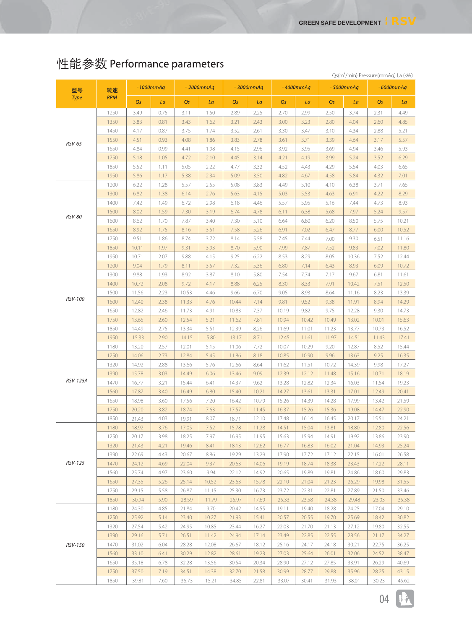|               |            |                |              |                |              |       |              |                |              |       |              | Qs(m <sup>3</sup> /min) Pressure(mmAq) La (kW) |              |
|---------------|------------|----------------|--------------|----------------|--------------|-------|--------------|----------------|--------------|-------|--------------|------------------------------------------------|--------------|
| 型号            | 转速         |                | $-1000mm$ Aq |                | $-2000mm$ Aq |       | $-3000mm$ Aq |                | $-4000mm$ Aq |       | $-5000mm$ Aq |                                                | $-6000mm$ Aq |
| <b>Type</b>   | <b>RPM</b> | Q <sub>S</sub> | La           | Q <sub>S</sub> | La           | Qs    | La           | Q <sub>S</sub> | La           | Qs    | La           | Qs                                             | La           |
|               | 1250       | 3.49           | 0.75         | 3.11           | 1.50         | 2.89  | 2.25         | 2.70           | 2.99         | 2.50  | 3.74         | 2.31                                           | 4.49         |
|               | 1350       | 3.83           | 0.81         | 3.43           | 1.62         | 3.21  | 2.43         | 3.00           | 3.23         | 2.80  | 4.04         | 2.60                                           | 4.85         |
|               | 1450       | 4.17           | 0.87         | 3.75           | 1.74         | 3.52  | 2.61         | 3.30           | 3.47         | 3.10  | 4.34         | 2.88                                           | 5.21         |
|               | 1550       | 4.51           | 0.93         | 4.08           | 1.86         | 3.83  | 2.78         | 3.61           | 3.71         | 3.39  | 4.64         | 3.17                                           | 5.57         |
| <b>RSV-65</b> | 1650       | 4.84           | 0.99         | 4.41           | 1.98         | 4.15  | 2.96         | 3.92           | 3.95         | 3.69  | 4.94         | 3.46                                           | 5.93         |
|               | 1750       | 5.18           | 1.05         | 4.72           | 2.10         | 4.45  | 3.14         | 4.21           | 4.19         | 3.99  | 5.24         | 3.52                                           | 6.29         |
|               | 1850       | 5.52           | 1.11         | 5.05           | 2.22         | 4.77  | 3.32         | 4.52           | 4.43         | 4.29  | 5.54         | 4.03                                           | 6.65         |
|               | 1950       | 5.86           | 1.17         | 5.38           | 2.34         | 5.09  | 3.50         | 4.82           | 4.67         | 4.58  | 5.84         | 4.32                                           | 7.01         |
|               | 1200       | 6.22           | 1.28         | 5.57           | 2.55         | 5.08  | 3.83         | 4.49           | 5.10         | 4.10  | 6.38         | 3.71                                           | 7.65         |
|               | 1300       | 6.82           | 1.38         | 6.14           | 2.76         | 5.63  | 4.15         | 5.03           | 5.53         | 4.63  | 6.91         | 4.22                                           | 8.29         |
|               | 1400       | 7.42           | 1.49         | 6.72           | 2.98         | 6.18  | 4.46         | 5.57           | 5.95         | 5.16  | 7.44         | 4.73                                           | 8.93         |
|               | 1500       | 8.02           | 1.59         | 7.30           | 3.19         | 6.74  | 4.78         | 6.11           | 6.38         | 5.68  | 7.97         | 5.24                                           | 9.57         |
| <b>RSV-80</b> | 1600       | 8.62           | 1.70         | 7.87           | 3.40         | 7.30  | 5.10         | 6.64           | 6.80         | 6.20  | 8.50         | 5.75                                           | 10.21        |
|               | 1650       | 8.92           | 1.75         | 8.16           | 3.51         | 7.58  | 5.26         | 6.91           | 7.02         | 6.47  | 8.77         | 6.00                                           | 10.52        |
|               | 1750       | 9.51           | 1.86         | 8.74           | 3.72         | 8.14  | 5.58         | 7.45           | 7.44         | 7.00  | 9.30         | 6.51                                           | 11.16        |
|               | 1850       | 10.11          | 1.97         | 9.31           | 3.93         | 8.70  | 5.90         | 7.99           | 7.87         | 7.52  | 9.83         | 7.02                                           | 11.80        |
|               | 1950       | 10.71          | 2.07         | 9.88           | 4.15         | 9.25  | 6.22         | 8.53           | 8.29         | 8.05  | 10.36        | 7.52                                           | 12.44        |
|               | 1200       | 9.04           | 1.79         | 8.11           | 3.57         | 7.32  | 5.36         | 6.80           | 7.14         | 6.43  | 8.93         | 6.09                                           | 10.72        |
|               | 1300       | 9.88           | 1.93         | 8.92           | 3.87         | 8.10  | 5.80         | 7.54           | 7.74         | 7.17  | 9.67         | 6.81                                           | 11.61        |
|               | 1400       | 10.72          | 2.08         | 9.72           | 4.17         | 8.88  | 6.25         | 8.30           | 8.33         | 7.91  | 10.42        | 7.51                                           | 12.50        |
|               | 1500       | 11.56          | 2.23         | 10.53          | 4.46         | 9.66  | 6.70         | 9.05           | 8.93         | 8.64  | 11.16        | 8.23                                           | 13.39        |
| RSV-100       | 1600       | 12.40          | 2.38         | 11.33          | 4.76         | 10.44 | 7.14         | 9.81           | 9.52         | 9.38  | 11.91        | 8.94                                           | 14.29        |
|               | 1650       | 12.82          | 2.46         | 11.73          | 4.91         | 10.83 | 7.37         | 10.19          | 9.82         | 9.75  | 12.28        | 9.30                                           | 14.73        |
|               | 1750       | 13.65          | 2.60         | 12.54          | 5.21         | 11.62 | 7.81         | 10.94          | 10.42        | 10.49 | 13.02        | 10.01                                          | 15.63        |
|               | 1850       | 14.49          | 2.75         | 13.34          | 5.51         | 12.39 | 8.26         | 11.69          | 11.01        | 11.23 | 13.77        | 10.73                                          | 16.52        |
|               | 1950       | 15.33          | 2.90         | 14.15          | 5.80         | 13.17 | 8.71         | 12.45          | 11.61        | 11.97 | 14.51        | 11.43                                          | 17.41        |
|               | 1180       | 13.20          | 2.57         | 12.01          | 5.15         | 11.06 | 7.72         | 10.07          | 10.29        | 9.20  | 12.87        | 8.52                                           | 15.44        |
|               | 1250       | 14.06          | 2.73         | 12.84          | 5.45         | 11.86 | 8.18         | 10.85          | 10.90        | 9.96  | 13.63        | 9.25                                           | 16.35        |
|               | 1320       | 14.92          | 2.88         | 13.66          | 5.76         | 12.66 | 8.64         | 11.62          | 11.51        | 10.72 | 14.39        | 9.98                                           | 17.27        |
|               | 1390       | 15.78          | 3.03         | 14.49          | 6.06         | 13.46 | 9.09         | 12.39          | 12.12        | 11.48 | 15.16        | 10.71                                          | 18.19        |
| RSV-125A      | 1470       | 16.77          | 3.21         | 15.44          | 6.41         | 14.37 | 9.62         | 13.28          | 12.82        | 12.34 | 16.03        | 11.54                                          | 19.23        |
|               | 1560       | 17.87          | 3.40         | 16.49          | 6.80         | 15.40 | 10.21        | 14.27          | 13.61        | 13.31 | 17.01        | 12.49                                          | 20.41        |
|               | 1650       | 18.98          | 3.60         | 17.56          | 7.20         | 16.42 | 10.79        | 15.26          | 14.39        | 14.28 | 17.99        | 13.42                                          | 21.59        |
|               | 1750       | 20.20          | 3.82         | 18.74          | 7.63         | 17.57 | 11.45        | 16.37          | 15.26        | 15.36 | 19.08        | 14.47                                          | 22.90        |
|               | 1850       | 21.43          | 4.03         | 19.91          | 8.07         | 18.71 | 12.10        | 17.48          | 16.14        | 16.45 | 20.17        | 15.51                                          | 24.21        |
|               | 1180       | 18.92          | 3.76         | 17.05          | 7.52         | 15.78 | 11.28        | 14.51          | 15.04        | 13.81 | 18.80        | 12.80                                          | 22.56        |
|               | 1250       | 20.17          | 3.98         | 18.25          | 7.97         | 16.95 | 11.95        | 15.63          | 15.94        | 14.91 | 19.92        | 13.86                                          | 23.90        |
|               | 1320       | 21.43          | 4.21         | 19.46          | 8.41         | 18.13 | 12.62        | 16.77          | 16.83        | 16.02 | 21.04        | 14.93                                          | 25.24        |
|               | 1390       | 22.69          | 4.43         | 20.67          | 8.86         | 19.29 | 13.29        | 17.90          | 17.72        | 17.12 | 22.15        | 16.01                                          | 26.58        |
| RSV-125       | 1470       | 24.12          | 4.69         | 22.04          | 9.37         | 20.63 | 14.06        | 19.19          | 18.74        | 18.38 | 23.43        | 17.22                                          | 28.11        |
|               | 1560       | 25.74          | 4.97         | 23.60          | 9.94         | 22.12 | 14.92        | 20.65          | 19.89        | 19.81 | 24.86        | 18.60                                          | 29.83        |
|               | 1650       | 27.35          | 5.26         | 25.14          | 10.52        | 23.63 | 15.78        | 22.10          | 21.04        | 21.23 | 26.29        | 19.98                                          | 31.55        |
|               | 1750       | 29.15          | 5.58         | 26.87          | 11.15        | 25.30 | 16.73        | 23.72          | 22.31        | 22.81 | 27.89        | 21.50                                          | 33.46        |
|               | 1850       | 30.94          | 5.90         | 28.59          | 11.79        | 26.97 | 17.69        | 25.33          | 23.58        | 24.38 | 29.48        | 23.03                                          | 35.38        |
|               | 1180       | 24.30          | 4.85         | 21.84          | 9.70         | 20.42 | 14.55        | 19.11          | 19.40        | 18.28 | 24.25        | 17.04                                          | 29.10        |
|               | 1250       | 25.92          | 5.14         | 23.40          | 10.27        | 21.93 | 15.41        | 20.57          | 20.55        | 19.70 | 25.69        | 18.42                                          | 30.82        |
|               | 1320       | 27.54          | 5.42         | 24.95          | 10.85        | 23.44 | 16.27        | 22.03          | 21.70        | 21.13 | 27.12        | 19.80                                          | 32.55        |
|               | 1390       | 29.16          | 5.71         | 26.51          | 11.42        | 24.94 | 17.14        | 23.49          | 22.85        | 22.55 | 28.56        | 21.17                                          | 34.27        |
| RSV-150       | 1470       | 31.02          | 6.04         | 28.28          | 12.08        | 26.67 | 18.12        | 25.16          | 24.17        | 24.18 | 30.21        | 22.75                                          | 36.25        |
|               | 1560       | 33.10          | 6.41         | 30.29          | 12.82        | 28.61 | 19.23        | 27.03          | 25.64        | 26.01 | 32.06        | 24.52                                          | 38.47        |
|               | 1650       | 35.18          | 6.78         | 32.28          | 13.56        | 30.54 | 20.34        | 28.90          | 27.12        | 27.85 | 33.91        | 26.29                                          | 40.69        |
|               | 1750       | 37.50          | 7.19         | 34.51          | 14.38        | 32.70 | 21.58        | 30.99          | 28.77        | 29.88 | 35.96        | 28.25                                          | 43.15        |
|               | 1850       | 39.81          | 7.60         | 36.73          | 15.21        | 34.85 | 22.81        | 33.07          | 30.41        | 31.93 | 38.01        | 30.23                                          | 45.62        |

# 性能参数 Performance parameters

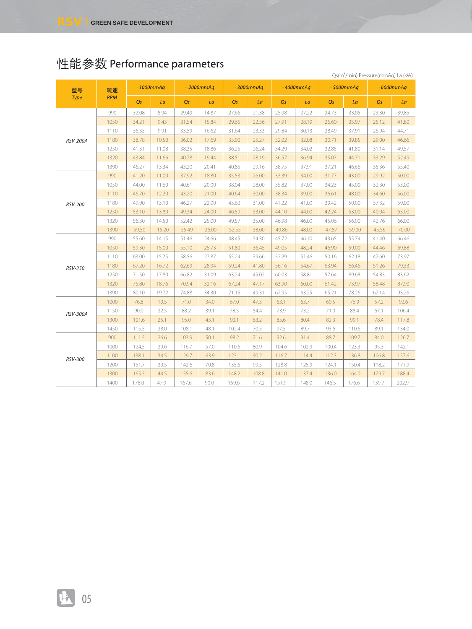|                |            |       |              |       |              |       |              |       |              |       |              | Qs(m <sup>3</sup> /min) Pressure(mmAq) La (kW) |       |
|----------------|------------|-------|--------------|-------|--------------|-------|--------------|-------|--------------|-------|--------------|------------------------------------------------|-------|
| 型号             | 转速         |       | $-1000mm$ Aq |       | $-2000mm$ Aq |       | $-3000mm$ Aq |       | $-4000mm$ Aq |       | $-5000mm$ Aq | $-6000mm$ Aq                                   |       |
| Type           | <b>RPM</b> | Qs    | La           | Qs    | La           | Qs    | La           | Qs    | La           | Qs    | La           | Qs                                             | La    |
|                | 990        | 32.08 | 8.94         | 29.49 | 14.87        | 27.66 | 21.38        | 25.98 | 27.22        | 24.73 | 33.05        | 23.30                                          | 39.85 |
|                | 1050       | 34.21 | 9.43         | 31.54 | 15.84        | 29.65 | 22.36        | 27.91 | 28.19        | 26.60 | 35.97        | 25.12                                          | 41.80 |
|                | 1110       | 36.35 | 9.91         | 33.59 | 16.62        | 31.64 | 23.33        | 29.84 | 30.13        | 28.49 | 37.91        | 26.94                                          | 44.71 |
| RSV-200A       | 1180       | 38.78 | 10.50        | 36.02 | 17.69        | 33.90 | 25.27        | 32.02 | 32.08        | 30.71 | 39.85        | 29.00                                          | 46.66 |
|                | 1250       | 41.31 | 11.08        | 38.35 | 18.86        | 36.25 | 26.24        | 34.29 | 34.02        | 32.85 | 41.80        | 31.14                                          | 49.57 |
|                | 1320       | 43.84 | 11.66        | 40.78 | 19.44        | 38.51 | 28.19        | 36.57 | 36.94        | 35.07 | 44.71        | 33.29                                          | 52.49 |
|                | 1390       | 46.27 | 13.34        | 43.20 | 20.41        | 40.85 | 29.16        | 38.75 | 37.91        | 37.21 | 46.66        | 35.36                                          | 55.40 |
|                | 990        | 41.20 | 11.00        | 37.92 | 18.80        | 35.53 | 26.00        | 33.39 | 34.00        | 31.77 | 43.00        | 29.92                                          | 50.00 |
|                | 1050       | 44.00 | 11.60        | 40.61 | 20.00        | 38.04 | 28.00        | 35.82 | 37.00        | 34.23 | 45.00        | 32.30                                          | 53.00 |
|                | 1110       | 46.70 | 12.20        | 43.20 | 21.00        | 40.64 | 30.00        | 38.34 | 39.00        | 36.61 | 48.00        | 34.60                                          | 56.00 |
| <b>RSV-200</b> | 1180       | 49.90 | 13.10        | 46.27 | 22.00        | 43.62 | 31.00        | 41.22 | 41.00        | 39.42 | 50.00        | 37.32                                          | 59.00 |
|                | 1250       | 53.10 | 13.80        | 49.34 | 24.00        | 46.59 | 33.00        | 44.10 | 44.00        | 42.24 | 53.00        | 40.04                                          | 63.00 |
|                | 1320       | 56.30 | 14.50        | 52.42 | 25.00        | 49.57 | 35.00        | 46.98 | 46.00        | 45.06 | 56.00        | 42.76                                          | 66.00 |
|                | 1390       | 59.50 | 15.20        | 55.49 | 26.00        | 52.55 | 38.00        | 49.86 | 48.00        | 47.87 | 59.00        | 45.56                                          | 70.00 |
|                | 990        | 55.60 | 14.15        | 51.46 | 24.66        | 48.45 | 34.30        | 45.72 | 46.10        | 43.65 | 55.74        | 41.40                                          | 66.46 |
|                | 1050       | 59.30 | 15.00        | 55.10 | 25.73        | 51.80 | 36.45        | 49.05 | 48.24        | 46.90 | 59.00        | 44.46                                          | 69.88 |
|                | 1110       | 63.00 | 15.75        | 58.56 | 27.87        | 55.24 | 39.66        | 52.29 | 51.46        | 50.16 | 62.18        | 47.60                                          | 73.97 |
| RSV-250        | 1180       | 67.20 | 16.72        | 62.69 | 28.94        | 59.24 | 41.80        | 56.16 | 54.67        | 53.94 | 66.46        | 51.26                                          | 79.33 |
|                | 1250       | 71.50 | 17.80        | 66.82 | 31.09        | 63.24 | 45.02        | 60.03 | 58.81        | 57.64 | 69.68        | 54.83                                          | 83.62 |
|                | 1320       | 75.80 | 18.76        | 70.94 | 32.16        | 67.24 | 47.17        | 63.90 | 60.00        | 61.42 | 73.97        | 58.48                                          | 87.90 |
|                | 1390       | 80.10 | 19.72        | 74.88 | 34.30        | 71.15 | 49.31        | 67.95 | 63.25        | 65.21 | 78.26        | 62.14                                          | 93.26 |
|                | 1000       | 76.8  | 19.5         | 71.0  | 34.0         | 67.0  | 47.3         | 63.1  | 63.7         | 60.5  | 76.9         | 57.2                                           | 92.6  |
| RSV-300A       | 1150       | 90.0  | 22.5         | 83.2  | 39.1         | 78.5  | 54.4         | 73.9  | 73.2         | 71.0  | 88.4         | 67.1                                           | 106.4 |
|                | 1300       | 101.6 | 25.1         | 95.0  | 43.1         | 90.1  | 63.2         | 85.6  | 80.4         | 82.3  | 99.1         | 78.4                                           | 117.8 |
|                | 1450       | 115.5 | 28.0         | 108.1 | 48.1         | 102.4 | 70.5         | 97.5  | 89.7         | 93.6  | 110.6        | 89.1                                           | 134.0 |
|                | 900        | 111.5 | 26.6         | 103.9 | 50.1         | 98.2  | 71.6         | 92.6  | 91.4         | 88.7  | 109.7        | 84.0                                           | 126.7 |
|                | 1000       | 124.5 | 29.6         | 116.7 | 57.0         | 110.6 | 80.9         | 104.6 | 102.9        | 100.4 | 123.3        | 95.3                                           | 142.1 |
| RSV-300        | 1100       | 138.1 | 34.5         | 129.7 | 63.9         | 123.1 | 90.2         | 116.7 | 114.4        | 112.3 | 136.8        | 106.8                                          | 157.6 |
|                | 1200       | 151.7 | 39.5         | 142.6 | 70.8         | 135.6 | 99.5         | 128.8 | 125.9        | 124.1 | 150.4        | 118.2                                          | 171.9 |
|                | 1300       | 165.3 | 44.5         | 155.6 | 83.6         | 148.2 | 108.8        | 141.0 | 137.4        | 136.0 | 164.0        | 129.7                                          | 188.4 |
|                | 1400       | 178.0 | 47.9         | 167.6 | 90.0         | 159.6 | 117.2        | 151.9 | 148.0        | 146.5 | 176.6        | 139.7                                          | 202.9 |

# 性能参数 Performance parameters

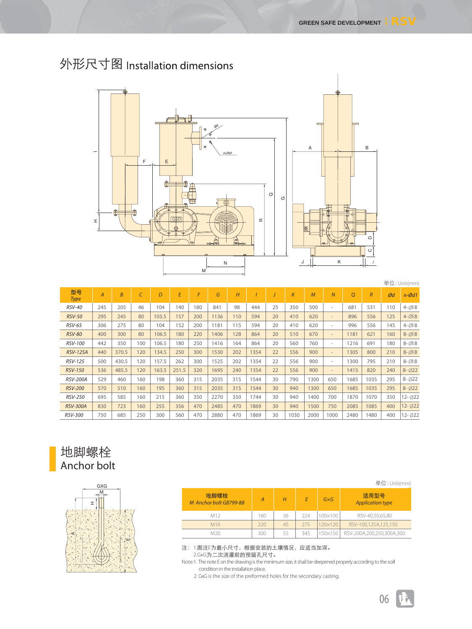

# 外形尺寸图 Installation dimensions

|                   |                |       |     |       |       |     |      |     |      |    |          |                |                              |      |                |     | 单位: Unit(mm)         |
|-------------------|----------------|-------|-----|-------|-------|-----|------|-----|------|----|----------|----------------|------------------------------|------|----------------|-----|----------------------|
| 型号<br><b>Type</b> | $\overline{A}$ | B     |     | D     | E     | F   | G    | H   |      |    | $\kappa$ | $\overline{M}$ | $\overline{N}$               | O    | $\overline{R}$ | Ød  | $n-\cancel{0}d1$     |
| <b>RSV-40</b>     | 245            | 205   | 46  | 104   | 140   | 180 | 841  | 98  | 444  | 25 | 350      | 500            | $\sim$                       | 681  | 531            | 110 | $4 - 018$            |
| <b>RSV-50</b>     | 295            | 245   | 80  | 103.5 | 157   | 200 | 1136 | 110 | 594  | 20 | 410      | 620            | $\overline{\phantom{a}}$     | 896  | 556            | 125 | $4 - 18$             |
| <b>RSV-65</b>     | 306            | 275   | 80  | 104   | 152   | 200 | 1181 | 115 | 594  | 20 | 410      | 620            | $\sim$                       | 996  | 556            | 145 | $4 - 18$             |
| <b>RSV-80</b>     | 400            | 300   | 80  | 106.5 | 180   | 220 | 1406 | 128 | 864  | 20 | 510      | 670            | $\qquad \qquad \blacksquare$ | 1181 | 621            | 160 | $8 - 18$             |
| <b>RSV-100</b>    | 442            | 350   | 100 | 106.5 | 180   | 250 | 1416 | 164 | 864  | 20 | 560      | 760            | $\sim$                       | 1216 | 691            | 180 | $8 - 18$             |
| <b>RSV-125A</b>   | 440            | 370.5 | 120 | 134.5 | 250   | 300 | 1530 | 202 | 1354 | 22 | 556      | 900            | $\overline{\phantom{a}}$     | 1305 | 800            | 210 | $8 - \varnothing$ 18 |
| <b>RSV-125</b>    | 500            | 430.5 | 120 | 157.5 | 262   | 300 | 1525 | 202 | 1354 | 22 | 556      | 900            | $\sim$                       | 1300 | 795            | 210 | $8 - \varnothing$ 18 |
| <b>RSV-150</b>    | 536            | 485.5 | 120 | 163.5 | 251.5 | 320 | 1695 | 240 | 1354 | 22 | 556      | 900            | $\qquad \qquad =$            | 1415 | 820            | 240 | $8 - 022$            |
| <b>RSV-200A</b>   | 529            | 460   | 160 | 198   | 360   | 315 | 2035 | 315 | 1544 | 30 | 790      | 1300           | 650                          | 1685 | 1035           | 295 | $8 - 022$            |
| <b>RSV-200</b>    | 570            | 510   | 160 | 195   | 360   | 315 | 2035 | 315 | 1544 | 30 | 940      | 1300           | 650                          | 1685 | 1035           | 295 | $8 - 022$            |
| <b>RSV-250</b>    | 695            | 585   | 160 | 215   | 360   | 350 | 2270 | 350 | 1744 | 30 | 940      | 1400           | 700                          | 1870 | 1070           | 350 | 12-022               |
| <b>RSV-300A</b>   | 830            | 723   | 160 | 255   | 356   | 470 | 2485 | 470 | 1869 | 30 | 940      | 1500           | 750                          | 2085 | 1085           | 400 | 12-022               |
| <b>RSV-300</b>    | 750            | 685   | 250 | 300   | 560   | 470 | 2880 | 470 | 1869 | 30 | 1030     | 2000           | 1000                         | 2480 | 1480           | 400 | $12 - 022$           |

## 地脚螺栓 Anchor bolt



|                                |     |    |     |             | $#11$ . UNILIMIN                |
|--------------------------------|-----|----|-----|-------------|---------------------------------|
| 地脚螺栓<br>M Anchor bolt GB799-88 | Α   | Н  |     | $G\times G$ | 适用型号<br><b>Application type</b> |
| M12                            | 60  | 36 | 224 | 100×100     | RSV-40,50,65,80                 |
| M <sub>16</sub>                | 720 | 45 | 275 | 20×120      | RSV-100,125A,125,150            |
| M20                            | 300 | 55 | 345 | 50×150      | RSV-200A,200,250,300A,300       |

注:1.图注E为最小尺寸,根据安装的土壤情况,应适当加深。 2.GxG为二次浇灌前的预留孔尺寸。

Note:1. The note E on the drawing is the minimum size, it shall be deepened properly according to the soill condition in the installation place.

2. GxG is the size of the preformed holes for the secondary casting.

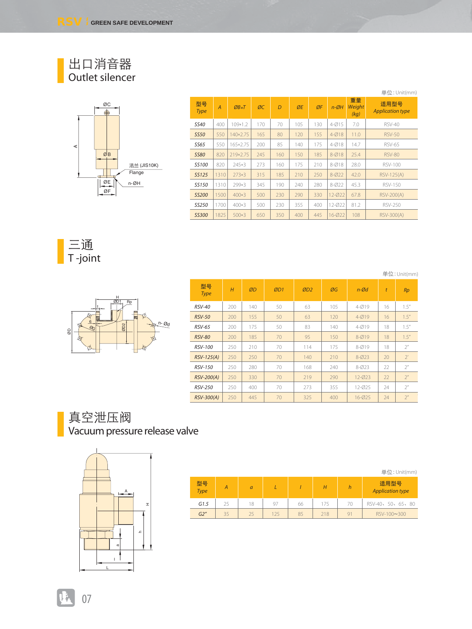#### 出口消音器 Outlet silencer



|                   |                |           |     |     |     |     |                     |                      | 单位: Unit(mm)                    |
|-------------------|----------------|-----------|-----|-----|-----|-----|---------------------|----------------------|---------------------------------|
| 型묵<br><b>Type</b> | $\overline{A}$ | $ØB*T$    | ØC  | D   | ØE  | ØF  | $n - \varnothing H$ | 重量<br>Weight<br>(kq) | 适用型号<br><b>Application type</b> |
| <b>SS40</b>       | 400            | $109*1.2$ | 170 | 70  | 105 | 130 | $4 - Ø15$           | 7.0                  | RSV-40                          |
| <b>SS50</b>       | 550            | 140*2.75  | 165 | 80  | 120 | 155 | $4 - Ø18$           | 11.0                 | <b>RSV-50</b>                   |
| SS65              | 550            | 165*2.75  | 200 | 85  | 140 | 175 | $4 - Ø18$           | 14.7                 | <b>RSV-65</b>                   |
| <b>SS80</b>       | 820            | 219*2.75  | 245 | 160 | 150 | 185 | $8 - Ø18$           | 25.4                 | <b>RSV-80</b>                   |
| <b>SS100</b>      | 820            | 245*3     | 273 | 160 | 175 | 210 | $8 - Ø18$           | 28.0                 | <b>RSV-100</b>                  |
| <b>SS125</b>      | 1310           | $273*3$   | 315 | 185 | 210 | 250 | $8 - 022$           | 42.0                 | <b>RSV-125(A)</b>               |
| SS150             | 1310           | 299*3     | 345 | 190 | 240 | 280 | $8 - 022$           | 45.3                 | <b>RSV-150</b>                  |
| <b>SS200</b>      | 1500           | $400*3$   | 500 | 230 | 290 | 330 | 12-022              | 67.8                 | <b>RSV-200(A)</b>               |
| SS250             | 1700           | 400*3     | 500 | 230 | 355 | 400 | 12-022              | 81.2                 | <b>RSV-250</b>                  |
| <b>SS300</b>      | 1825           | $500*3$   | 650 | 350 | 400 | 445 | 16-Ø22              | 108                  | RSV-300(A)                      |

三通 T -joint

单位:Unit(mm)



| 型묵<br><b>Type</b> | H   | ØD  | ØD1 | ØD2 | ØG  | $n-\mathcal{O}d$ | t  | <b>Rp</b>      |
|-------------------|-----|-----|-----|-----|-----|------------------|----|----------------|
| <b>RSV-40</b>     | 200 | 140 | 50  | 63  | 105 | $4 - 019$        | 16 | 1.5''          |
| <b>RSV-50</b>     | 200 | 155 | 50  | 63  | 120 | $4 - 019$        | 16 | 1.5''          |
| <b>RSV-65</b>     | 200 | 175 | 50  | 83  | 140 | $4 - 019$        | 18 | 1.5''          |
| <b>RSV-80</b>     | 200 | 185 | 70  | 95  | 150 | $8 - Ø19$        | 18 | 1.5''          |
| <b>RSV-100</b>    | 250 | 210 | 70  | 114 | 175 | $8 - 019$        | 18 | 2 <sup>n</sup> |
| RSV-125(A)        | 250 | 250 | 70  | 140 | 210 | $8 - 023$        | 20 | 2'             |
| <b>RSV-150</b>    | 250 | 280 | 70  | 168 | 240 | $8 - 023$        | 22 | 2 <sup>n</sup> |
| <b>RSV-200(A)</b> | 250 | 330 | 70  | 219 | 290 | $12 - 023$       | 22 | 2 <sup>n</sup> |
| <b>RSV-250</b>    | 250 | 400 | 70  | 273 | 355 | 12-025           | 24 | 2 <sup>n</sup> |
| RSV-300(A)        | 250 | 445 | 70  | 325 | 400 | $16 - 025$       | 24 | 2 <sup>n</sup> |

### 真空泄压阀 Vacuum pressure release valve



|            |    |    |     |    |     |    | 单位: Unit(mm)                    |
|------------|----|----|-----|----|-----|----|---------------------------------|
| 型号<br>Type | А  | a  |     |    | Н   | h  | 适用型号<br><b>Application type</b> |
| G1.5       | 25 | 18 | 97  | 66 | 175 | 70 | RSV-40, 50, 65, 80              |
| G2''       | 35 | 25 | 125 | 85 | 218 | 91 | RSV-100~300                     |

07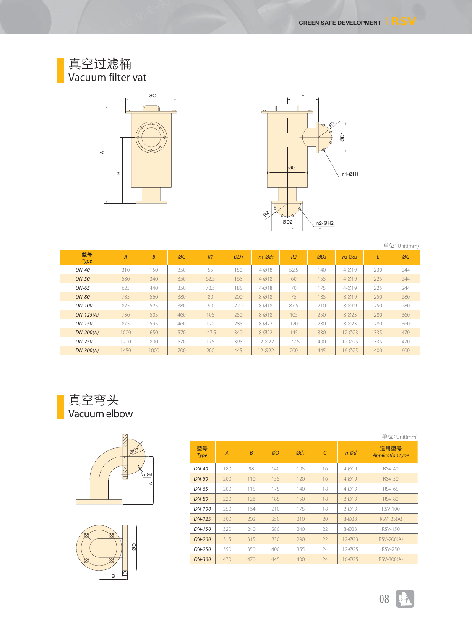#### 真空过滤桶 Vacuum filter vat





|                   |                |                |     |       |     |                       |                |     |                       |     | 单位: Unit(mm) |
|-------------------|----------------|----------------|-----|-------|-----|-----------------------|----------------|-----|-----------------------|-----|--------------|
| 型号<br><b>Type</b> | $\overline{A}$ | $\overline{B}$ | ØC  | R1    | ØD1 | $n_1 - \emptyset d_1$ | R <sub>2</sub> | ØD2 | $n_2 - \emptyset d_2$ | E   | ØG           |
| DN-40             | 310            | 150            | 350 | 55    | 150 | $4 - 018$             | 52.5           | 140 | $4 - 019$             | 230 | 244          |
| <b>DN-50</b>      | 580            | 340            | 350 | 62.5  | 165 | $4 - 018$             | 60             | 155 | $4 - 019$             | 225 | 244          |
| $DN-65$           | 625            | 440            | 350 | 72.5  | 185 | $4 - 018$             | 70             | 175 | $4 - 019$             | 225 | 244          |
| <b>DN-80</b>      | 785            | 560            | 380 | 80    | 200 | $8 - Ø18$             | 75             | 185 | $8 - Ø19$             | 250 | 280          |
| DN-100            | 825            | 525            | 380 | 90    | 220 | $8 - Ø18$             | 87.5           | 210 | $8 - 019$             | 250 | 280          |
| $DN-125(A)$       | 730            | 505            | 460 | 105   | 250 | $8 - Ø18$             | 105            | 250 | $8 - 023$             | 280 | 360          |
| DN-150            | 875            | 595            | 460 | 120   | 285 | $8 - 022$             | 120            | 280 | $8 - 023$             | 280 | 360          |
| $DN-200(A)$       | 1000           | 650            | 570 | 147.5 | 340 | $8 - 022$             | 145            | 330 | 12-023                | 335 | 470          |
| DN-250            | 1200           | 800            | 570 | 175   | 395 | 12-022                | 177.5          | 400 | 12-025                | 335 | 470          |
| $DN-300(A)$       | 1450           | 1000           | 700 | 200   | 445 | 12-022                | 200            | 445 | 16-Ø25                | 400 | 600          |

真空弯头 Vacuum elbow





|                   | 单位: Unit(mm)   |                |     |                            |            |                  |                                 |  |
|-------------------|----------------|----------------|-----|----------------------------|------------|------------------|---------------------------------|--|
| 型묵<br><b>Type</b> | $\overline{A}$ | $\overline{B}$ | ØD  | $\emptyset$ d <sub>1</sub> | $\epsilon$ | $n-\mathcal{O}d$ | 适用型号<br><b>Application type</b> |  |
| DN-40             | 180            | 98             | 140 | 105                        | 16         | $4 - Ø19$        | <b>RSV-40</b>                   |  |
| <b>DN-50</b>      | 200            | 110            | 155 | 120                        | 16         | $4 - 019$        | <b>RSV-50</b>                   |  |
| DN-65             | 200            | 115            | 175 | 140                        | 18         | $4 - 019$        | <b>RSV-65</b>                   |  |
| <b>DN-80</b>      | 220            | 128            | 185 | 150                        | 18         | $8 - Ø19$        | <b>RSV-80</b>                   |  |
| DN-100            | 250            | 164            | 210 | 175                        | 18         | $8 - 019$        | <b>RSV-100</b>                  |  |
| $DN-125$          | 300            | 202            | 250 | 210                        | 20         | $8 - 023$        | <b>RSV125(A)</b>                |  |
| DN-150            | 320            | 240            | 280 | 240                        | 22         | $8 - 023$        | <b>RSV-150</b>                  |  |
| <b>DN-200</b>     | 315            | 315            | 330 | 290                        | 22         | $12 - 023$       | <b>RSV-200(A)</b>               |  |
| DN-250            | 350            | 350            | 400 | 355                        | 24         | 12-025           | <b>RSV-250</b>                  |  |
| <b>DN-300</b>     | 470            | 470            | 445 | 400                        | 24         | 16-025           | RSV-300(A)                      |  |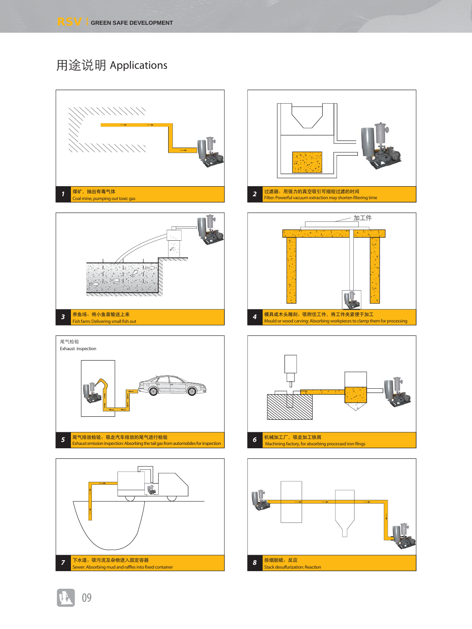## 用途说明 Applications



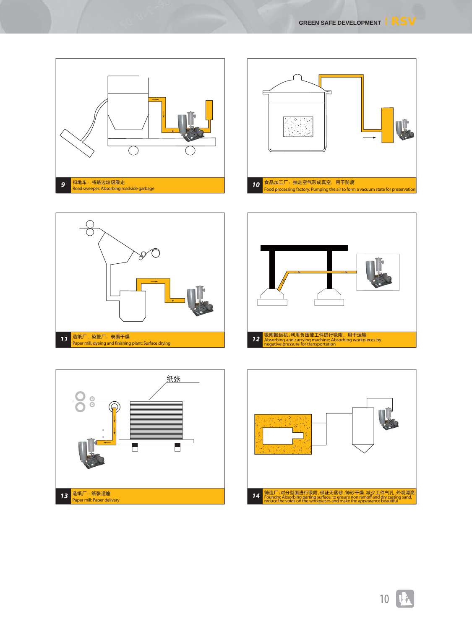